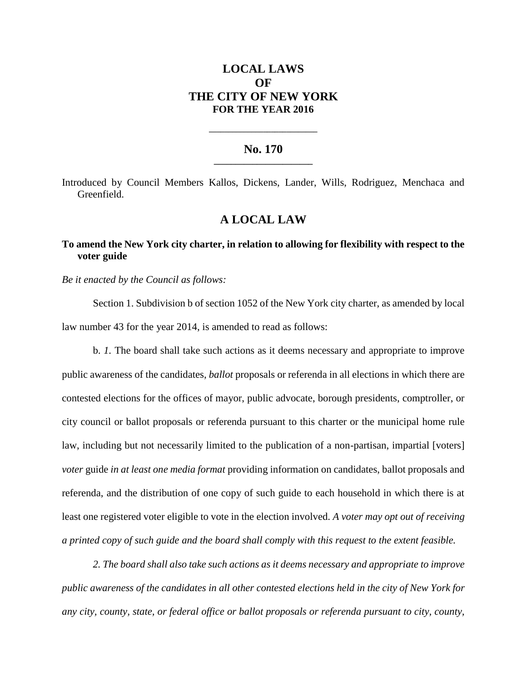# **LOCAL LAWS OF THE CITY OF NEW YORK FOR THE YEAR 2016**

#### **No. 170 \_\_\_\_\_\_\_\_\_\_\_\_\_\_\_\_\_\_\_\_\_\_\_**

**\_\_\_\_\_\_\_\_\_\_\_\_\_\_\_\_\_\_\_\_\_\_\_\_\_\_\_\_**

Introduced by Council Members Kallos, Dickens, Lander, Wills, Rodriguez, Menchaca and Greenfield.

## **A LOCAL LAW**

### **To amend the New York city charter, in relation to allowing for flexibility with respect to the voter guide**

*Be it enacted by the Council as follows:*

Section 1. Subdivision b of section 1052 of the New York city charter, as amended by local law number 43 for the year 2014, is amended to read as follows:

b. *1.* The board shall take such actions as it deems necessary and appropriate to improve public awareness of the candidates, *ballot* proposals or referenda in all elections in which there are contested elections for the offices of mayor, public advocate, borough presidents, comptroller, or city council or ballot proposals or referenda pursuant to this charter or the municipal home rule law, including but not necessarily limited to the publication of a non-partisan, impartial [voters] *voter* guide *in at least one media format* providing information on candidates, ballot proposals and referenda, and the distribution of one copy of such guide to each household in which there is at least one registered voter eligible to vote in the election involved. *A voter may opt out of receiving a printed copy of such guide and the board shall comply with this request to the extent feasible.*

*2. The board shall also take such actions as it deems necessary and appropriate to improve public awareness of the candidates in all other contested elections held in the city of New York for any city, county, state, or federal office or ballot proposals or referenda pursuant to city, county,*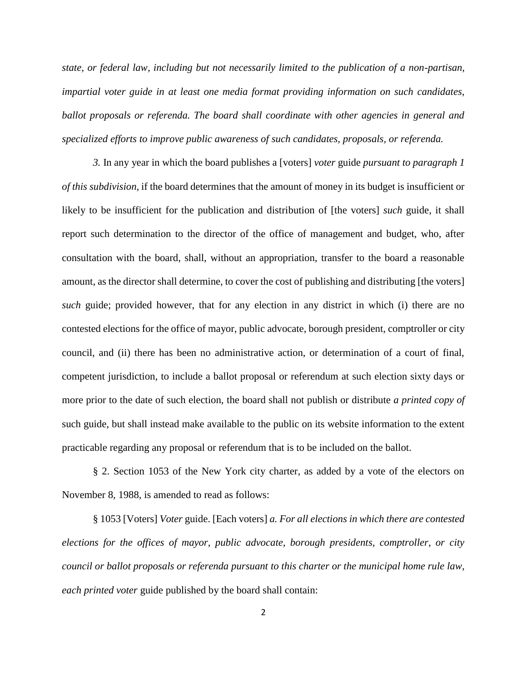*state, or federal law, including but not necessarily limited to the publication of a non-partisan, impartial voter guide in at least one media format providing information on such candidates, ballot proposals or referenda. The board shall coordinate with other agencies in general and specialized efforts to improve public awareness of such candidates, proposals, or referenda.*

*3.* In any year in which the board publishes a [voters] *voter* guide *pursuant to paragraph 1 of this subdivision*, if the board determines that the amount of money in its budget is insufficient or likely to be insufficient for the publication and distribution of [the voters] *such* guide, it shall report such determination to the director of the office of management and budget, who, after consultation with the board, shall, without an appropriation, transfer to the board a reasonable amount, as the director shall determine, to cover the cost of publishing and distributing [the voters] *such* guide; provided however, that for any election in any district in which (i) there are no contested elections for the office of mayor, public advocate, borough president, comptroller or city council, and (ii) there has been no administrative action, or determination of a court of final, competent jurisdiction, to include a ballot proposal or referendum at such election sixty days or more prior to the date of such election, the board shall not publish or distribute *a printed copy of* such guide, but shall instead make available to the public on its website information to the extent practicable regarding any proposal or referendum that is to be included on the ballot.

§ 2. Section 1053 of the New York city charter, as added by a vote of the electors on November 8, 1988, is amended to read as follows:

§ 1053 [Voters] *Voter* guide. [Each voters] *a. For all elections in which there are contested elections for the offices of mayor, public advocate, borough presidents, comptroller, or city council or ballot proposals or referenda pursuant to this charter or the municipal home rule law, each printed voter* guide published by the board shall contain: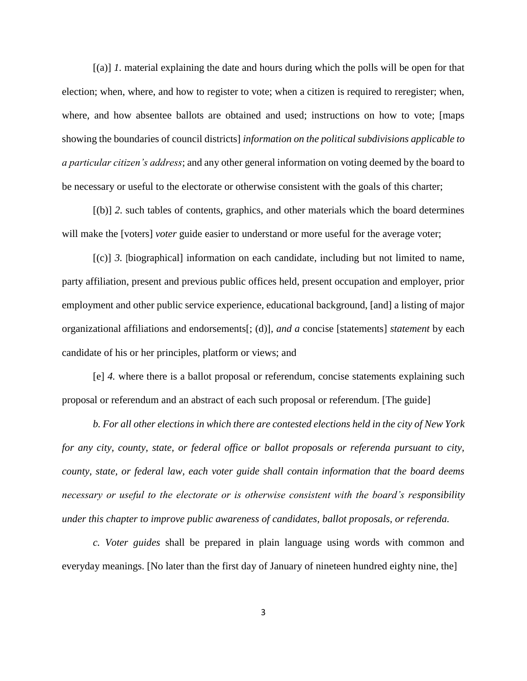[(a)] *1.* material explaining the date and hours during which the polls will be open for that election; when, where, and how to register to vote; when a citizen is required to reregister; when, where, and how absentee ballots are obtained and used; instructions on how to vote; [maps showing the boundaries of council districts] *information on the political subdivisions applicable to a particular citizen's address*; and any other general information on voting deemed by the board to be necessary or useful to the electorate or otherwise consistent with the goals of this charter;

[(b)] *2.* such tables of contents, graphics, and other materials which the board determines will make the [voters] *voter* guide easier to understand or more useful for the average voter;

[(c)] *3.* [biographical] information on each candidate, including but not limited to name, party affiliation, present and previous public offices held, present occupation and employer, prior employment and other public service experience, educational background, [and] a listing of major organizational affiliations and endorsements[; (d)]*, and a* concise [statements] *statement* by each candidate of his or her principles, platform or views; and

[e] *4.* where there is a ballot proposal or referendum, concise statements explaining such proposal or referendum and an abstract of each such proposal or referendum. [The guide]

*b. For all other elections in which there are contested elections held in the city of New York for any city, county, state, or federal office or ballot proposals or referenda pursuant to city, county, state, or federal law, each voter guide shall contain information that the board deems necessary or useful to the electorate or is otherwise consistent with the board's responsibility under this chapter to improve public awareness of candidates, ballot proposals, or referenda.* 

*c. Voter guides* shall be prepared in plain language using words with common and everyday meanings. [No later than the first day of January of nineteen hundred eighty nine, the]